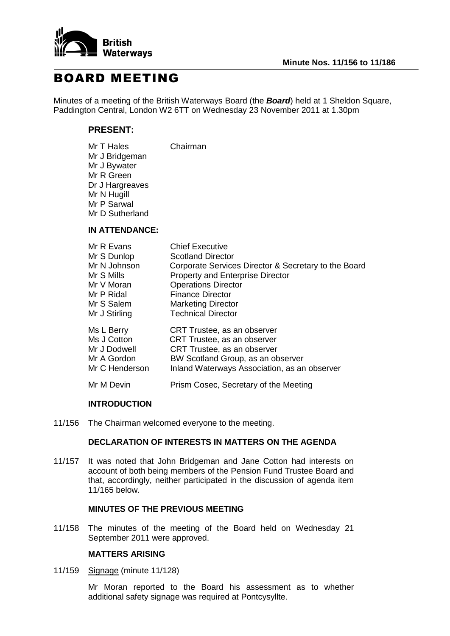

# BOARD MEETING

Minutes of a meeting of the British Waterways Board (the *Board*) held at 1 Sheldon Square, Paddington Central, London W2 6TT on Wednesday 23 November 2011 at 1.30pm

# **PRESENT:**

| Mr T Hales      | Chairman |
|-----------------|----------|
| Mr J Bridgeman  |          |
| Mr J Bywater    |          |
| Mr R Green      |          |
| Dr J Hargreaves |          |
| Mr N Hugill     |          |
| Mr P Sarwal     |          |
| Mr D Sutherland |          |
|                 |          |

# **IN ATTENDANCE:**

| Mr R Evans     | <b>Chief Executive</b>                               |
|----------------|------------------------------------------------------|
| Mr S Dunlop    | <b>Scotland Director</b>                             |
| Mr N Johnson   | Corporate Services Director & Secretary to the Board |
| Mr S Mills     | <b>Property and Enterprise Director</b>              |
| Mr V Moran     | <b>Operations Director</b>                           |
| Mr P Ridal     | <b>Finance Director</b>                              |
| Mr S Salem     | <b>Marketing Director</b>                            |
| Mr J Stirling  | <b>Technical Director</b>                            |
| Ms L Berry     | CRT Trustee, as an observer                          |
| Ms J Cotton    | CRT Trustee, as an observer                          |
| Mr J Dodwell   | CRT Trustee, as an observer                          |
| Mr A Gordon    | BW Scotland Group, as an observer                    |
| Mr C Henderson | Inland Waterways Association, as an observer         |
| Mr M Devin     | Prism Cosec, Secretary of the Meeting                |

# **INTRODUCTION**

11/156 The Chairman welcomed everyone to the meeting.

# **DECLARATION OF INTERESTS IN MATTERS ON THE AGENDA**

11/157 It was noted that John Bridgeman and Jane Cotton had interests on account of both being members of the Pension Fund Trustee Board and that, accordingly, neither participated in the discussion of agenda item 11/165 below.

## **MINUTES OF THE PREVIOUS MEETING**

11/158 The minutes of the meeting of the Board held on Wednesday 21 September 2011 were approved.

# **MATTERS ARISING**

11/159 Signage (minute 11/128)

Mr Moran reported to the Board his assessment as to whether additional safety signage was required at Pontcysyllte.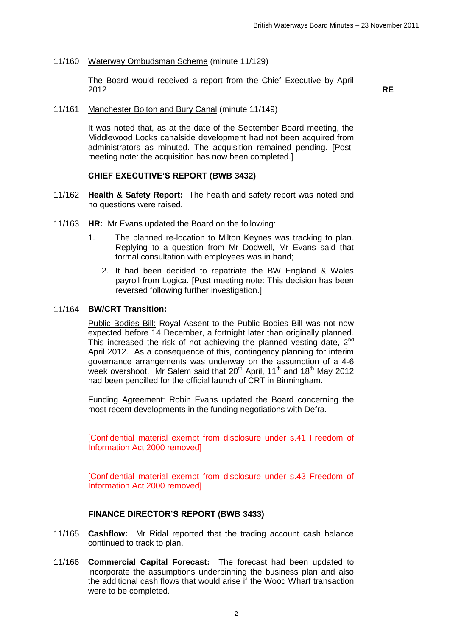11/160 Waterway Ombudsman Scheme (minute 11/129)

The Board would received a report from the Chief Executive by April 2012 **RE**

11/161 Manchester Bolton and Bury Canal (minute 11/149)

It was noted that, as at the date of the September Board meeting, the Middlewood Locks canalside development had not been acquired from administrators as minuted. The acquisition remained pending. [Postmeeting note: the acquisition has now been completed.]

#### **CHIEF EXECUTIVE'S REPORT (BWB 3432)**

- 11/162 **Health & Safety Report:** The health and safety report was noted and no questions were raised.
- 11/163 **HR:** Mr Evans updated the Board on the following:
	- 1. The planned re-location to Milton Keynes was tracking to plan. Replying to a question from Mr Dodwell, Mr Evans said that formal consultation with employees was in hand;
		- 2. It had been decided to repatriate the BW England & Wales payroll from Logica. [Post meeting note: This decision has been reversed following further investigation.]

#### 11/164 **BW/CRT Transition:**

Public Bodies Bill: Royal Assent to the Public Bodies Bill was not now expected before 14 December, a fortnight later than originally planned. This increased the risk of not achieving the planned vesting date, 2<sup>nd</sup> April 2012. As a consequence of this, contingency planning for interim governance arrangements was underway on the assumption of a 4-6 week overshoot. Mr Salem said that  $20<sup>th</sup>$  April, 11<sup>th</sup> and 18<sup>th</sup> May 2012 had been pencilled for the official launch of CRT in Birmingham.

Funding Agreement: Robin Evans updated the Board concerning the most recent developments in the funding negotiations with Defra.

[Confidential material exempt from disclosure under s.41 Freedom of Information Act 2000 removed]

[Confidential material exempt from disclosure under s.43 Freedom of Information Act 2000 removed]

#### **FINANCE DIRECTOR'S REPORT (BWB 3433)**

- 11/165 **Cashflow:** Mr Ridal reported that the trading account cash balance continued to track to plan.
- 11/166 **Commercial Capital Forecast:** The forecast had been updated to incorporate the assumptions underpinning the business plan and also the additional cash flows that would arise if the Wood Wharf transaction were to be completed.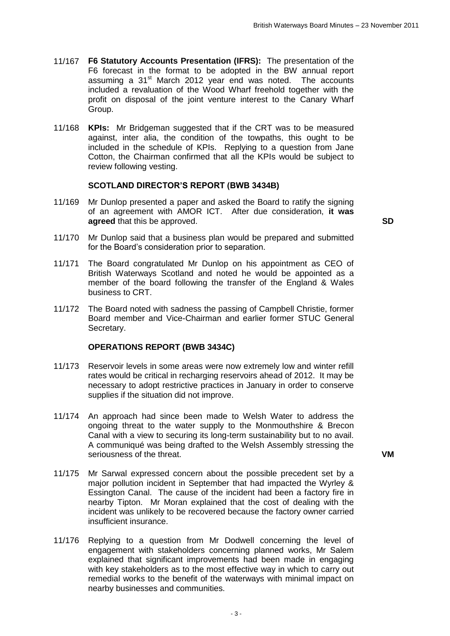- 11/167 **F6 Statutory Accounts Presentation (IFRS):** The presentation of the F6 forecast in the format to be adopted in the BW annual report assuming a  $31<sup>st</sup>$  March 2012 year end was noted. The accounts included a revaluation of the Wood Wharf freehold together with the profit on disposal of the joint venture interest to the Canary Wharf Group.
- 11/168 **KPIs:** Mr Bridgeman suggested that if the CRT was to be measured against, inter alia, the condition of the towpaths, this ought to be included in the schedule of KPIs. Replying to a question from Jane Cotton, the Chairman confirmed that all the KPIs would be subject to review following vesting.

# **SCOTLAND DIRECTOR'S REPORT (BWB 3434B)**

11/169 Mr Dunlop presented a paper and asked the Board to ratify the signing of an agreement with AMOR ICT. After due consideration, **it was agreed** that this be approved. **SD**

- 11/170 Mr Dunlop said that a business plan would be prepared and submitted for the Board's consideration prior to separation.
- 11/171 The Board congratulated Mr Dunlop on his appointment as CEO of British Waterways Scotland and noted he would be appointed as a member of the board following the transfer of the England & Wales business to CRT.
- 11/172 The Board noted with sadness the passing of Campbell Christie, former Board member and Vice-Chairman and earlier former STUC General Secretary.

## **OPERATIONS REPORT (BWB 3434C)**

- 11/173 Reservoir levels in some areas were now extremely low and winter refill rates would be critical in recharging reservoirs ahead of 2012. It may be necessary to adopt restrictive practices in January in order to conserve supplies if the situation did not improve.
- 11/174 An approach had since been made to Welsh Water to address the ongoing threat to the water supply to the Monmouthshire & Brecon Canal with a view to securing its long-term sustainability but to no avail. A communiqué was being drafted to the Welsh Assembly stressing the seriousness of the threat. **VM**
- 11/175 Mr Sarwal expressed concern about the possible precedent set by a major pollution incident in September that had impacted the Wyrley & Essington Canal. The cause of the incident had been a factory fire in nearby Tipton. Mr Moran explained that the cost of dealing with the incident was unlikely to be recovered because the factory owner carried insufficient insurance.
- 11/176 Replying to a question from Mr Dodwell concerning the level of engagement with stakeholders concerning planned works, Mr Salem explained that significant improvements had been made in engaging with key stakeholders as to the most effective way in which to carry out remedial works to the benefit of the waterways with minimal impact on nearby businesses and communities.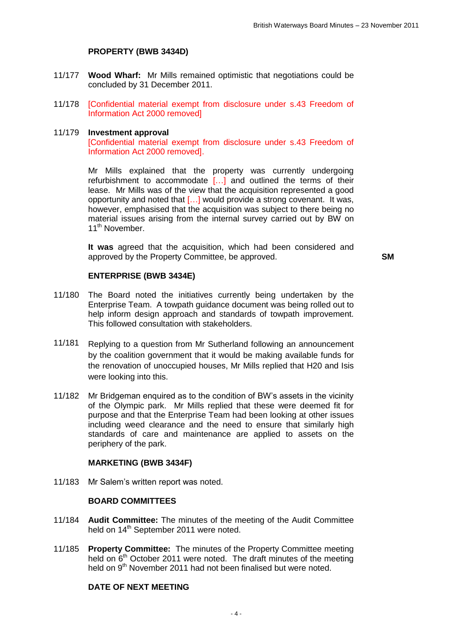## **PROPERTY (BWB 3434D)**

- 11/177 **Wood Wharf:** Mr Mills remained optimistic that negotiations could be concluded by 31 December 2011.
- 11/178 [Confidential material exempt from disclosure under s.43 Freedom of Information Act 2000 removed]

#### 11/179 **Investment approval**

[Confidential material exempt from disclosure under s.43 Freedom of Information Act 2000 removed].

Mr Mills explained that the property was currently undergoing refurbishment to accommodate […] and outlined the terms of their lease. Mr Mills was of the view that the acquisition represented a good opportunity and noted that […] would provide a strong covenant. It was, however, emphasised that the acquisition was subject to there being no material issues arising from the internal survey carried out by BW on 11<sup>th</sup> November.

**It was** agreed that the acquisition, which had been considered and approved by the Property Committee, be approved. **SM**

#### **ENTERPRISE (BWB 3434E)**

- 11/180 The Board noted the initiatives currently being undertaken by the Enterprise Team. A towpath guidance document was being rolled out to help inform design approach and standards of towpath improvement. This followed consultation with stakeholders.
- 11/181 Replying to a question from Mr Sutherland following an announcement by the coalition government that it would be making available funds for the renovation of unoccupied houses, Mr Mills replied that H20 and Isis were looking into this.
- 11/182 Mr Bridgeman enquired as to the condition of BW's assets in the vicinity of the Olympic park. Mr Mills replied that these were deemed fit for purpose and that the Enterprise Team had been looking at other issues including weed clearance and the need to ensure that similarly high standards of care and maintenance are applied to assets on the periphery of the park.

#### **MARKETING (BWB 3434F)**

11/183 Mr Salem's written report was noted.

# **BOARD COMMITTEES**

- 11/184 **Audit Committee:** The minutes of the meeting of the Audit Committee held on 14<sup>th</sup> September 2011 were noted.
- 11/185 **Property Committee:** The minutes of the Property Committee meeting held on 6<sup>th</sup> October 2011 were noted. The draft minutes of the meeting held on 9<sup>th</sup> November 2011 had not been finalised but were noted.

# **DATE OF NEXT MEETING**